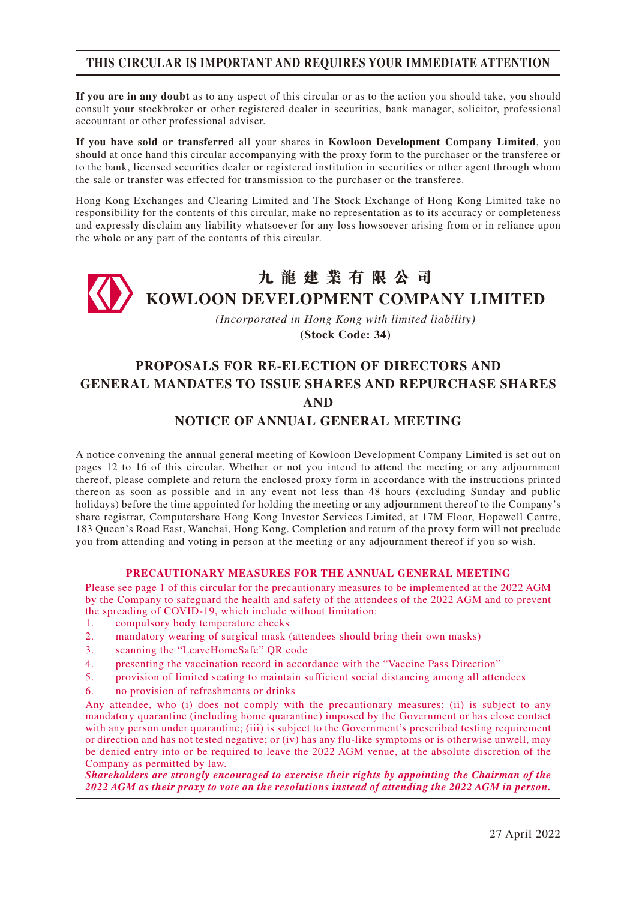# **THIS CIRCULAR IS IMPORTANT AND REQUIRES YOUR IMMEDIATE ATTENTION**

**If you are in any doubt** as to any aspect of this circular or as to the action you should take, you should consult your stockbroker or other registered dealer in securities, bank manager, solicitor, professional accountant or other professional adviser.

**If you have sold or transferred** all your shares in **Kowloon Development Company Limited**, you should at once hand this circular accompanying with the proxy form to the purchaser or the transferee or to the bank, licensed securities dealer or registered institution in securities or other agent through whom the sale or transfer was effected for transmission to the purchaser or the transferee.

Hong Kong Exchanges and Clearing Limited and The Stock Exchange of Hong Kong Limited take no responsibility for the contents of this circular, make no representation as to its accuracy or completeness and expressly disclaim any liability whatsoever for any loss howsoever arising from or in reliance upon the whole or any part of the contents of this circular.



*(Incorporated in Hong Kong with limited liability)* **(Stock Code: 34)**

# **PROPOSALS FOR RE-ELECTION OF DIRECTORS AND GENERAL MANDATES TO ISSUE SHARES AND REPURCHASE SHARES AND**

### **NOTICE OF ANNUAL GENERAL MEETING**

A notice convening the annual general meeting of Kowloon Development Company Limited is set out on pages 12 to 16 of this circular. Whether or not you intend to attend the meeting or any adjournment thereof, please complete and return the enclosed proxy form in accordance with the instructions printed thereon as soon as possible and in any event not less than 48 hours (excluding Sunday and public holidays) before the time appointed for holding the meeting or any adjournment thereof to the Company's share registrar, Computershare Hong Kong Investor Services Limited, at 17M Floor, Hopewell Centre, 183 Queen's Road East, Wanchai, Hong Kong. Completion and return of the proxy form will not preclude you from attending and voting in person at the meeting or any adjournment thereof if you so wish.

#### **PRECAUTIONARY MEASURES FOR THE ANNUAL GENERAL MEETING**

Please see page 1 of this circular for the precautionary measures to be implemented at the 2022 AGM by the Company to safeguard the health and safety of the attendees of the 2022 AGM and to prevent the spreading of COVID-19, which include without limitation:

- 1. compulsory body temperature checks
- 2. mandatory wearing of surgical mask (attendees should bring their own masks)
- 3. scanning the "LeaveHomeSafe" QR code
- 4. presenting the vaccination record in accordance with the "Vaccine Pass Direction"
- 5. provision of limited seating to maintain sufficient social distancing among all attendees
- 6. no provision of refreshments or drinks

Any attendee, who (i) does not comply with the precautionary measures; (ii) is subject to any mandatory quarantine (including home quarantine) imposed by the Government or has close contact with any person under quarantine; (iii) is subject to the Government's prescribed testing requirement or direction and has not tested negative; or (iv) has any flu-like symptoms or is otherwise unwell, may be denied entry into or be required to leave the 2022 AGM venue, at the absolute discretion of the Company as permitted by law.

*Shareholders are strongly encouraged to exercise their rights by appointing the Chairman of the 2022 AGM as their proxy to vote on the resolutions instead of attending the 2022 AGM in person.*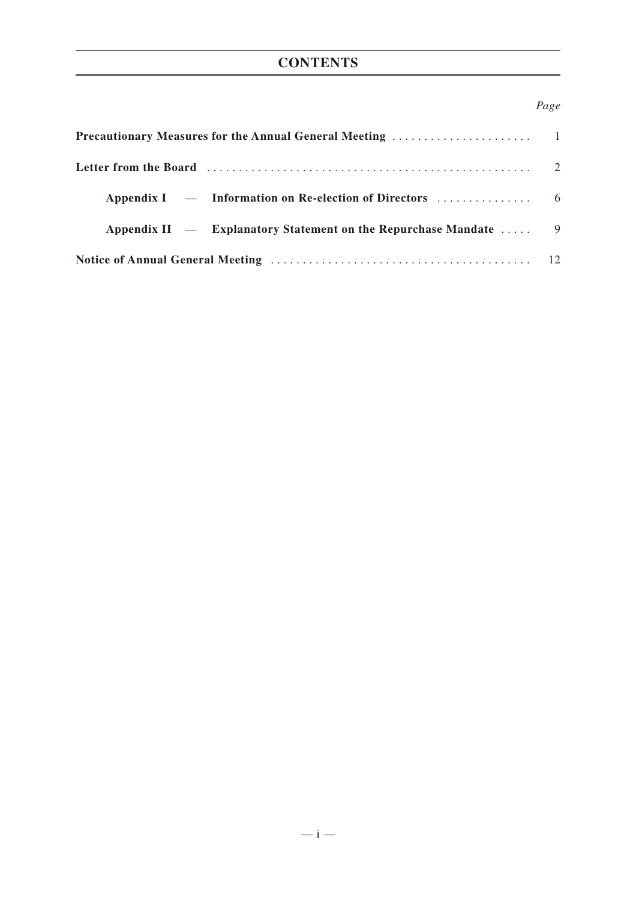# **CONTENTS**

### *Page*

| Letter from the Board (1) contained a set of the Board (1) contained a set of the Board (1) contained a set of the Board (1) contained a set of the Board (1) contained a set of the Board (1) contained a set of the Board (1 |  |
|--------------------------------------------------------------------------------------------------------------------------------------------------------------------------------------------------------------------------------|--|
|                                                                                                                                                                                                                                |  |
| Appendix II — Explanatory Statement on the Repurchase Mandate  9                                                                                                                                                               |  |
|                                                                                                                                                                                                                                |  |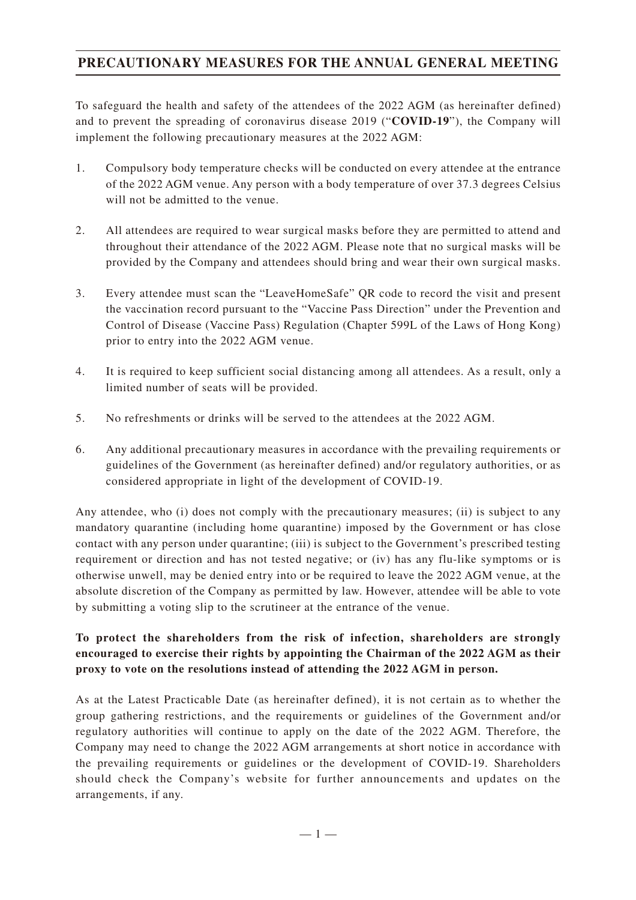# **PRECAUTIONARY MEASURES FOR THE ANNUAL GENERAL MEETING**

To safeguard the health and safety of the attendees of the 2022 AGM (as hereinafter defined) and to prevent the spreading of coronavirus disease 2019 ("**COVID-19**"), the Company will implement the following precautionary measures at the 2022 AGM:

- 1. Compulsory body temperature checks will be conducted on every attendee at the entrance of the 2022 AGM venue. Any person with a body temperature of over 37.3 degrees Celsius will not be admitted to the venue.
- 2. All attendees are required to wear surgical masks before they are permitted to attend and throughout their attendance of the 2022 AGM. Please note that no surgical masks will be provided by the Company and attendees should bring and wear their own surgical masks.
- 3. Every attendee must scan the "LeaveHomeSafe" QR code to record the visit and present the vaccination record pursuant to the "Vaccine Pass Direction" under the Prevention and Control of Disease (Vaccine Pass) Regulation (Chapter 599L of the Laws of Hong Kong) prior to entry into the 2022 AGM venue.
- 4. It is required to keep sufficient social distancing among all attendees. As a result, only a limited number of seats will be provided.
- 5. No refreshments or drinks will be served to the attendees at the 2022 AGM.
- 6. Any additional precautionary measures in accordance with the prevailing requirements or guidelines of the Government (as hereinafter defined) and/or regulatory authorities, or as considered appropriate in light of the development of COVID-19.

Any attendee, who (i) does not comply with the precautionary measures; (ii) is subject to any mandatory quarantine (including home quarantine) imposed by the Government or has close contact with any person under quarantine; (iii) is subject to the Government's prescribed testing requirement or direction and has not tested negative; or (iv) has any flu-like symptoms or is otherwise unwell, may be denied entry into or be required to leave the 2022 AGM venue, at the absolute discretion of the Company as permitted by law. However, attendee will be able to vote by submitting a voting slip to the scrutineer at the entrance of the venue.

### **To protect the shareholders from the risk of infection, shareholders are strongly encouraged to exercise their rights by appointing the Chairman of the 2022 AGM as their proxy to vote on the resolutions instead of attending the 2022 AGM in person.**

As at the Latest Practicable Date (as hereinafter defined), it is not certain as to whether the group gathering restrictions, and the requirements or guidelines of the Government and/or regulatory authorities will continue to apply on the date of the 2022 AGM. Therefore, the Company may need to change the 2022 AGM arrangements at short notice in accordance with the prevailing requirements or guidelines or the development of COVID-19. Shareholders should check the Company's website for further announcements and updates on the arrangements, if any.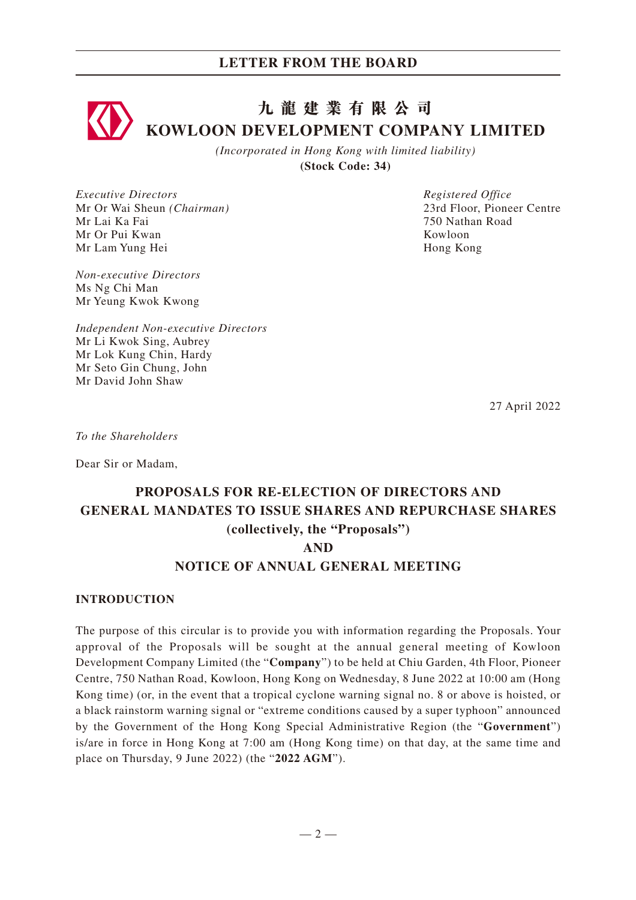# **九龍建業有限公司 KOWLOON DEVELOPMENT COMPANY LIMITED**

*(Incorporated in Hong Kong with limited liability)* **(Stock Code: 34)**

*Executive Directors* Mr Or Wai Sheun *(Chairman)* Mr Lai Ka Fai Mr Or Pui Kwan Mr Lam Yung Hei

*Non-executive Directors* Ms Ng Chi Man Mr Yeung Kwok Kwong

*Independent Non-executive Directors* Mr Li Kwok Sing, Aubrey Mr Lok Kung Chin, Hardy Mr Seto Gin Chung, John Mr David John Shaw

*Registered Office* 23rd Floor, Pioneer Centre 750 Nathan Road Kowloon Hong Kong

27 April 2022

*To the Shareholders*

Dear Sir or Madam,

# **PROPOSALS FOR RE-ELECTION OF DIRECTORS AND GENERAL MANDATES TO ISSUE SHARES AND REPURCHASE SHARES (collectively, the "Proposals") AND**

### **NOTICE OF ANNUAL GENERAL MEETING**

#### **INTRODUCTION**

The purpose of this circular is to provide you with information regarding the Proposals. Your approval of the Proposals will be sought at the annual general meeting of Kowloon Development Company Limited (the "**Company**") to be held at Chiu Garden, 4th Floor, Pioneer Centre, 750 Nathan Road, Kowloon, Hong Kong on Wednesday, 8 June 2022 at 10:00 am (Hong Kong time) (or, in the event that a tropical cyclone warning signal no. 8 or above is hoisted, or a black rainstorm warning signal or "extreme conditions caused by a super typhoon" announced by the Government of the Hong Kong Special Administrative Region (the "**Government**") is/are in force in Hong Kong at 7:00 am (Hong Kong time) on that day, at the same time and place on Thursday, 9 June 2022) (the "**2022 AGM**").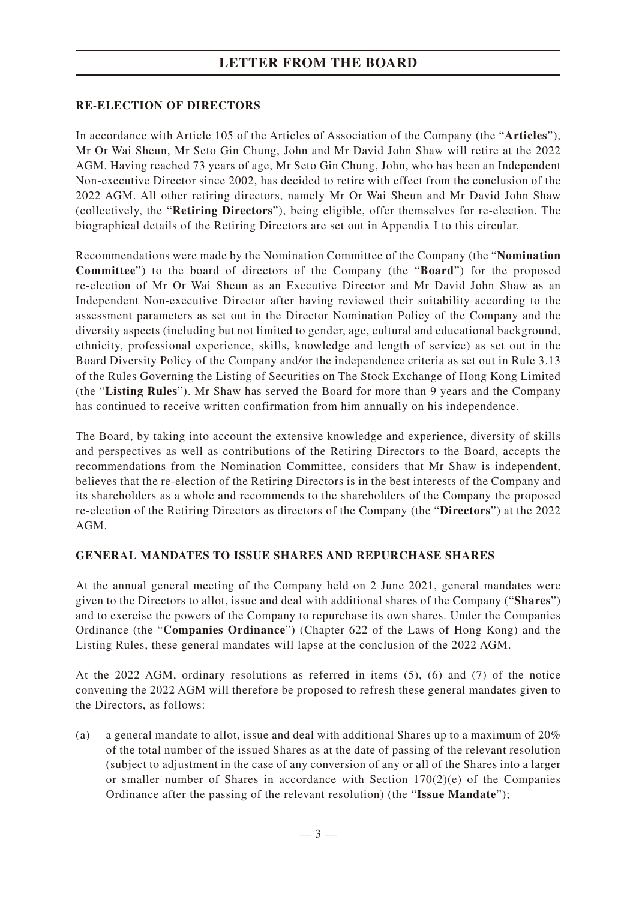# **LETTER FROM THE BOARD**

### **RE-ELECTION OF DIRECTORS**

In accordance with Article 105 of the Articles of Association of the Company (the "**Articles**"), Mr Or Wai Sheun, Mr Seto Gin Chung, John and Mr David John Shaw will retire at the 2022 AGM. Having reached 73 years of age, Mr Seto Gin Chung, John, who has been an Independent Non-executive Director since 2002, has decided to retire with effect from the conclusion of the 2022 AGM. All other retiring directors, namely Mr Or Wai Sheun and Mr David John Shaw (collectively, the "**Retiring Directors**"), being eligible, offer themselves for re-election. The biographical details of the Retiring Directors are set out in Appendix I to this circular.

Recommendations were made by the Nomination Committee of the Company (the "**Nomination Committee**") to the board of directors of the Company (the "**Board**") for the proposed re-election of Mr Or Wai Sheun as an Executive Director and Mr David John Shaw as an Independent Non-executive Director after having reviewed their suitability according to the assessment parameters as set out in the Director Nomination Policy of the Company and the diversity aspects (including but not limited to gender, age, cultural and educational background, ethnicity, professional experience, skills, knowledge and length of service) as set out in the Board Diversity Policy of the Company and/or the independence criteria as set out in Rule 3.13 of the Rules Governing the Listing of Securities on The Stock Exchange of Hong Kong Limited (the "**Listing Rules**"). Mr Shaw has served the Board for more than 9 years and the Company has continued to receive written confirmation from him annually on his independence.

The Board, by taking into account the extensive knowledge and experience, diversity of skills and perspectives as well as contributions of the Retiring Directors to the Board, accepts the recommendations from the Nomination Committee, considers that Mr Shaw is independent, believes that the re-election of the Retiring Directors is in the best interests of the Company and its shareholders as a whole and recommends to the shareholders of the Company the proposed re-election of the Retiring Directors as directors of the Company (the "**Directors**") at the 2022 AGM.

#### **GENERAL MANDATES TO ISSUE SHARES AND REPURCHASE SHARES**

At the annual general meeting of the Company held on 2 June 2021, general mandates were given to the Directors to allot, issue and deal with additional shares of the Company ("**Shares**") and to exercise the powers of the Company to repurchase its own shares. Under the Companies Ordinance (the "**Companies Ordinance**") (Chapter 622 of the Laws of Hong Kong) and the Listing Rules, these general mandates will lapse at the conclusion of the 2022 AGM.

At the 2022 AGM, ordinary resolutions as referred in items (5), (6) and (7) of the notice convening the 2022 AGM will therefore be proposed to refresh these general mandates given to the Directors, as follows:

(a) a general mandate to allot, issue and deal with additional Shares up to a maximum of  $20\%$ of the total number of the issued Shares as at the date of passing of the relevant resolution (subject to adjustment in the case of any conversion of any or all of the Shares into a larger or smaller number of Shares in accordance with Section  $170(2)(e)$  of the Companies Ordinance after the passing of the relevant resolution) (the "**Issue Mandate**");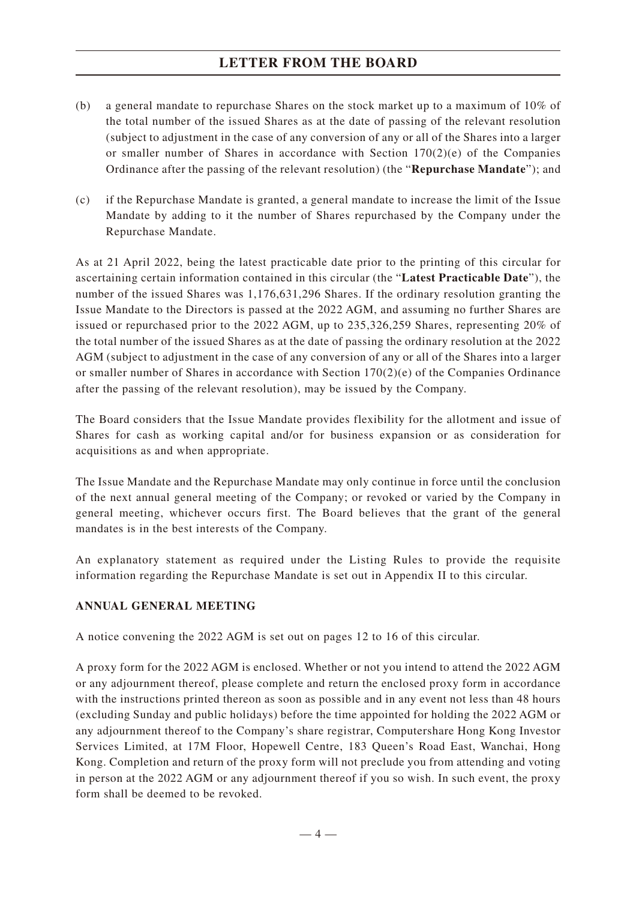# **LETTER FROM THE BOARD**

- (b) a general mandate to repurchase Shares on the stock market up to a maximum of 10% of the total number of the issued Shares as at the date of passing of the relevant resolution (subject to adjustment in the case of any conversion of any or all of the Shares into a larger or smaller number of Shares in accordance with Section  $170(2)(e)$  of the Companies Ordinance after the passing of the relevant resolution) (the "**Repurchase Mandate**"); and
- (c) if the Repurchase Mandate is granted, a general mandate to increase the limit of the Issue Mandate by adding to it the number of Shares repurchased by the Company under the Repurchase Mandate.

As at 21 April 2022, being the latest practicable date prior to the printing of this circular for ascertaining certain information contained in this circular (the "**Latest Practicable Date**"), the number of the issued Shares was 1,176,631,296 Shares. If the ordinary resolution granting the Issue Mandate to the Directors is passed at the 2022 AGM, and assuming no further Shares are issued or repurchased prior to the 2022 AGM, up to 235,326,259 Shares, representing 20% of the total number of the issued Shares as at the date of passing the ordinary resolution at the 2022 AGM (subject to adjustment in the case of any conversion of any or all of the Shares into a larger or smaller number of Shares in accordance with Section  $170(2)(e)$  of the Companies Ordinance after the passing of the relevant resolution), may be issued by the Company.

The Board considers that the Issue Mandate provides flexibility for the allotment and issue of Shares for cash as working capital and/or for business expansion or as consideration for acquisitions as and when appropriate.

The Issue Mandate and the Repurchase Mandate may only continue in force until the conclusion of the next annual general meeting of the Company; or revoked or varied by the Company in general meeting, whichever occurs first. The Board believes that the grant of the general mandates is in the best interests of the Company.

An explanatory statement as required under the Listing Rules to provide the requisite information regarding the Repurchase Mandate is set out in Appendix II to this circular.

### **ANNUAL GENERAL MEETING**

A notice convening the 2022 AGM is set out on pages 12 to 16 of this circular.

A proxy form for the 2022 AGM is enclosed. Whether or not you intend to attend the 2022 AGM or any adjournment thereof, please complete and return the enclosed proxy form in accordance with the instructions printed thereon as soon as possible and in any event not less than 48 hours (excluding Sunday and public holidays) before the time appointed for holding the 2022 AGM or any adjournment thereof to the Company's share registrar, Computershare Hong Kong Investor Services Limited, at 17M Floor, Hopewell Centre, 183 Queen's Road East, Wanchai, Hong Kong. Completion and return of the proxy form will not preclude you from attending and voting in person at the 2022 AGM or any adjournment thereof if you so wish. In such event, the proxy form shall be deemed to be revoked.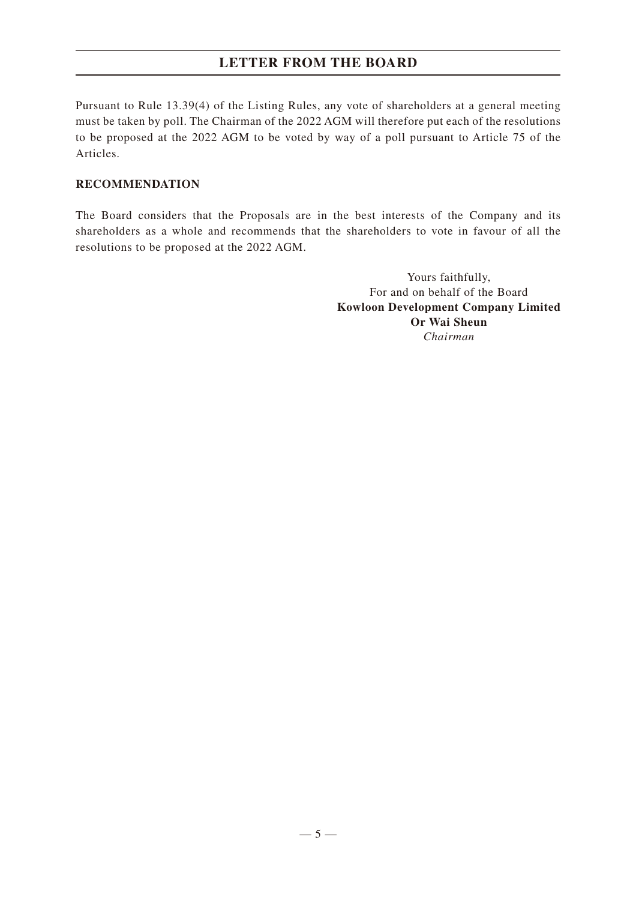# **LETTER FROM THE BOARD**

Pursuant to Rule 13.39(4) of the Listing Rules, any vote of shareholders at a general meeting must be taken by poll. The Chairman of the 2022 AGM will therefore put each of the resolutions to be proposed at the 2022 AGM to be voted by way of a poll pursuant to Article 75 of the Articles.

### **RECOMMENDATION**

The Board considers that the Proposals are in the best interests of the Company and its shareholders as a whole and recommends that the shareholders to vote in favour of all the resolutions to be proposed at the 2022 AGM.

> Yours faithfully, For and on behalf of the Board **Kowloon Development Company Limited Or Wai Sheun** *Chairman*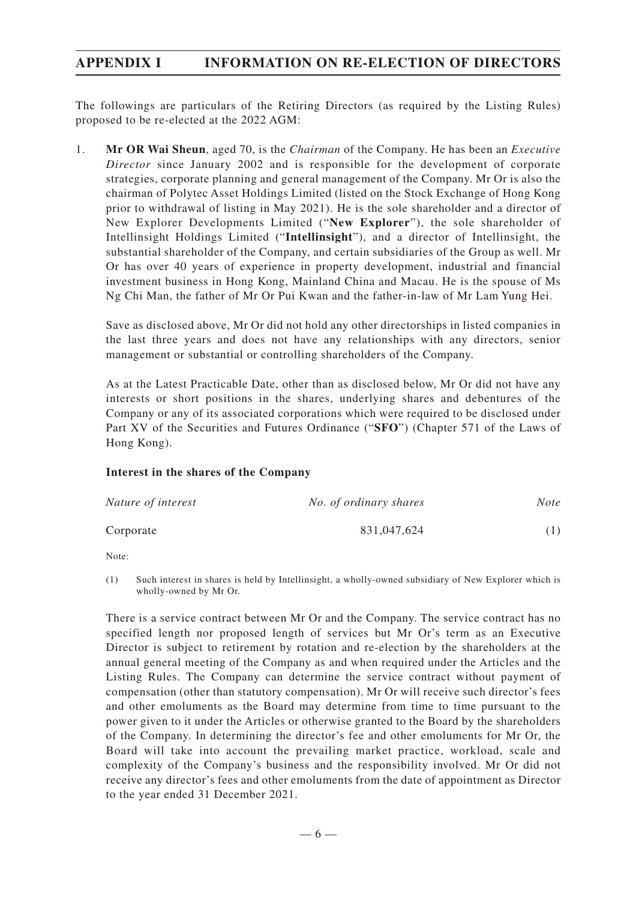# **APPENDIX I INFORMATION ON RE-ELECTION OF DIRECTORS**

The followings are particulars of the Retiring Directors (as required by the Listing Rules) proposed to be re-elected at the 2022 AGM:

1. **Mr OR Wai Sheun**, aged 70, is the *Chairman* of the Company. He has been an *Executive Director* since January 2002 and is responsible for the development of corporate strategies, corporate planning and general management of the Company. Mr Or is also the chairman of Polytec Asset Holdings Limited (listed on the Stock Exchange of Hong Kong prior to withdrawal of listing in May 2021). He is the sole shareholder and a director of New Explorer Developments Limited ("**New Explorer**"), the sole shareholder of Intellinsight Holdings Limited ("**Intellinsight**"), and a director of Intellinsight, the substantial shareholder of the Company, and certain subsidiaries of the Group as well. Mr Or has over 40 years of experience in property development, industrial and financial investment business in Hong Kong, Mainland China and Macau. He is the spouse of Ms Ng Chi Man, the father of Mr Or Pui Kwan and the father-in-law of Mr Lam Yung Hei.

Save as disclosed above, Mr Or did not hold any other directorships in listed companies in the last three years and does not have any relationships with any directors, senior management or substantial or controlling shareholders of the Company.

As at the Latest Practicable Date, other than as disclosed below, Mr Or did not have any interests or short positions in the shares, underlying shares and debentures of the Company or any of its associated corporations which were required to be disclosed under Part XV of the Securities and Futures Ordinance ("**SFO**") (Chapter 571 of the Laws of Hong Kong).

#### **Interest in the shares of the Company**

| Nature of interest | No. of ordinary shares | Note |
|--------------------|------------------------|------|
| Corporate          | 831,047,624            | (1)  |

Note:

(1) Such interest in shares is held by Intellinsight, a wholly-owned subsidiary of New Explorer which is wholly-owned by Mr Or.

There is a service contract between Mr Or and the Company. The service contract has no specified length nor proposed length of services but Mr Or's term as an Executive Director is subject to retirement by rotation and re-election by the shareholders at the annual general meeting of the Company as and when required under the Articles and the Listing Rules. The Company can determine the service contract without payment of compensation (other than statutory compensation). Mr Or will receive such director's fees and other emoluments as the Board may determine from time to time pursuant to the power given to it under the Articles or otherwise granted to the Board by the shareholders of the Company. In determining the director's fee and other emoluments for Mr Or, the Board will take into account the prevailing market practice, workload, scale and complexity of the Company's business and the responsibility involved. Mr Or did not receive any director's fees and other emoluments from the date of appointment as Director to the year ended 31 December 2021.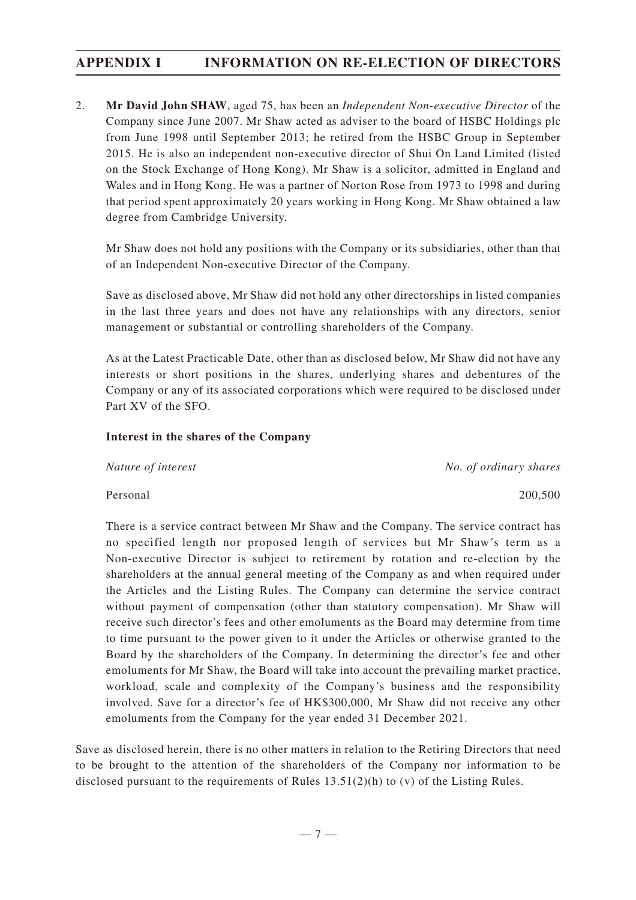# **APPENDIX I INFORMATION ON RE-ELECTION OF DIRECTORS**

2. **Mr David John SHAW**, aged 75, has been an *Independent Non-executive Director* of the Company since June 2007. Mr Shaw acted as adviser to the board of HSBC Holdings plc from June 1998 until September 2013; he retired from the HSBC Group in September 2015. He is also an independent non-executive director of Shui On Land Limited (listed on the Stock Exchange of Hong Kong). Mr Shaw is a solicitor, admitted in England and Wales and in Hong Kong. He was a partner of Norton Rose from 1973 to 1998 and during that period spent approximately 20 years working in Hong Kong. Mr Shaw obtained a law degree from Cambridge University.

Mr Shaw does not hold any positions with the Company or its subsidiaries, other than that of an Independent Non-executive Director of the Company.

Save as disclosed above, Mr Shaw did not hold any other directorships in listed companies in the last three years and does not have any relationships with any directors, senior management or substantial or controlling shareholders of the Company.

As at the Latest Practicable Date, other than as disclosed below, Mr Shaw did not have any interests or short positions in the shares, underlying shares and debentures of the Company or any of its associated corporations which were required to be disclosed under Part XV of the SFO.

#### **Interest in the shares of the Company**

*Nature of interest No. of ordinary shares*

Personal 200,500

There is a service contract between Mr Shaw and the Company. The service contract has no specified length nor proposed length of services but Mr Shaw's term as a Non-executive Director is subject to retirement by rotation and re-election by the shareholders at the annual general meeting of the Company as and when required under the Articles and the Listing Rules. The Company can determine the service contract without payment of compensation (other than statutory compensation). Mr Shaw will receive such director's fees and other emoluments as the Board may determine from time to time pursuant to the power given to it under the Articles or otherwise granted to the Board by the shareholders of the Company. In determining the director's fee and other emoluments for Mr Shaw, the Board will take into account the prevailing market practice, workload, scale and complexity of the Company's business and the responsibility involved. Save for a director's fee of HK\$300,000, Mr Shaw did not receive any other emoluments from the Company for the year ended 31 December 2021.

Save as disclosed herein, there is no other matters in relation to the Retiring Directors that need to be brought to the attention of the shareholders of the Company nor information to be disclosed pursuant to the requirements of Rules  $13.51(2)(h)$  to (v) of the Listing Rules.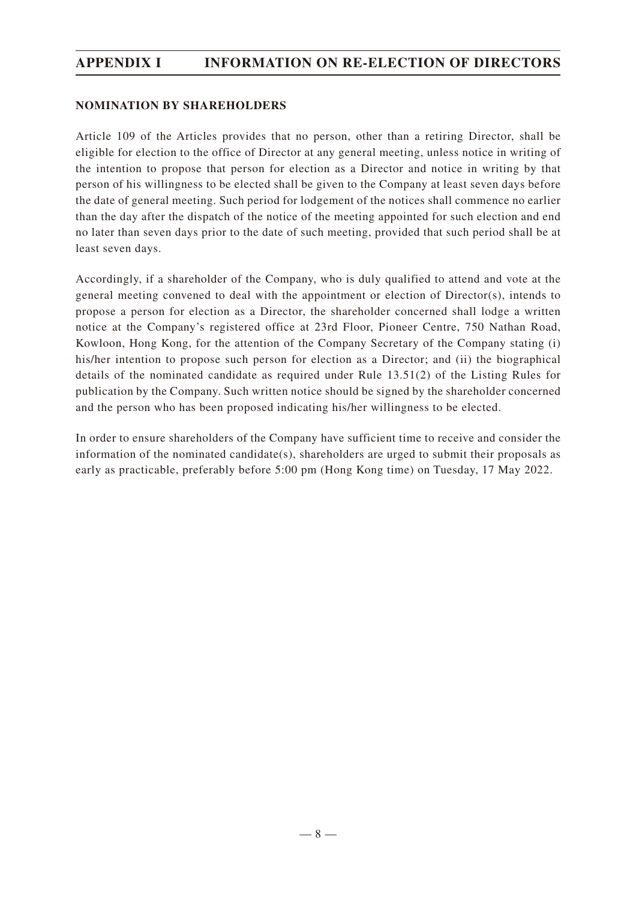# **APPENDIX I INFORMATION ON RE-ELECTION OF DIRECTORS**

#### **NOMINATION BY SHAREHOLDERS**

Article 109 of the Articles provides that no person, other than a retiring Director, shall be eligible for election to the office of Director at any general meeting, unless notice in writing of the intention to propose that person for election as a Director and notice in writing by that person of his willingness to be elected shall be given to the Company at least seven days before the date of general meeting. Such period for lodgement of the notices shall commence no earlier than the day after the dispatch of the notice of the meeting appointed for such election and end no later than seven days prior to the date of such meeting, provided that such period shall be at least seven days.

Accordingly, if a shareholder of the Company, who is duly qualified to attend and vote at the general meeting convened to deal with the appointment or election of Director(s), intends to propose a person for election as a Director, the shareholder concerned shall lodge a written notice at the Company's registered office at 23rd Floor, Pioneer Centre, 750 Nathan Road, Kowloon, Hong Kong, for the attention of the Company Secretary of the Company stating (i) his/her intention to propose such person for election as a Director; and (ii) the biographical details of the nominated candidate as required under Rule 13.51(2) of the Listing Rules for publication by the Company. Such written notice should be signed by the shareholder concerned and the person who has been proposed indicating his/her willingness to be elected.

In order to ensure shareholders of the Company have sufficient time to receive and consider the information of the nominated candidate(s), shareholders are urged to submit their proposals as early as practicable, preferably before 5:00 pm (Hong Kong time) on Tuesday, 17 May 2022.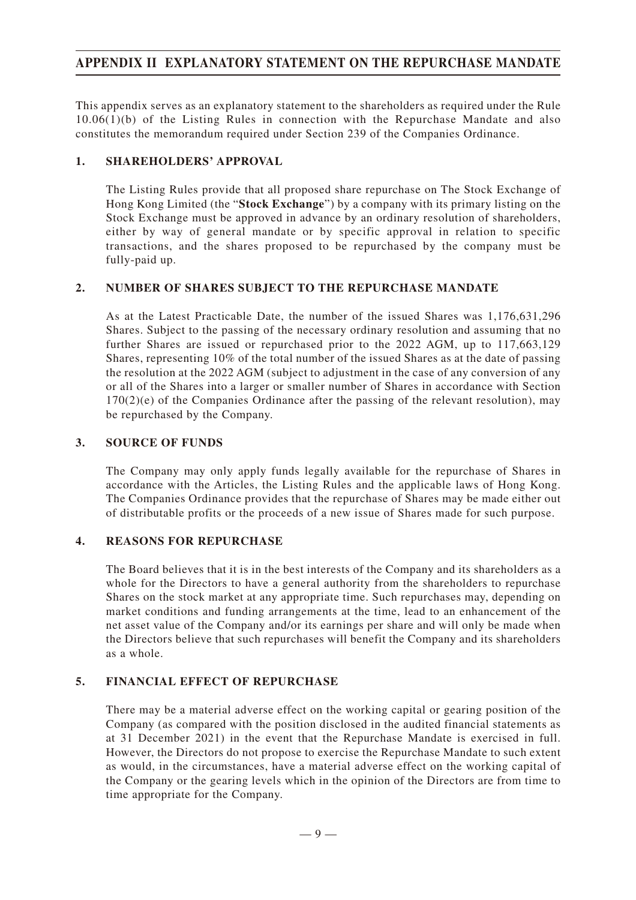# **APPENDIX II EXPLANATORY STATEMENT ON THE REPURCHASE MANDATE**

This appendix serves as an explanatory statement to the shareholders as required under the Rule 10.06(1)(b) of the Listing Rules in connection with the Repurchase Mandate and also constitutes the memorandum required under Section 239 of the Companies Ordinance.

### **1. SHAREHOLDERS' APPROVAL**

The Listing Rules provide that all proposed share repurchase on The Stock Exchange of Hong Kong Limited (the "**Stock Exchange**") by a company with its primary listing on the Stock Exchange must be approved in advance by an ordinary resolution of shareholders, either by way of general mandate or by specific approval in relation to specific transactions, and the shares proposed to be repurchased by the company must be fully-paid up.

### **2. NUMBER OF SHARES SUBJECT TO THE REPURCHASE MANDATE**

As at the Latest Practicable Date, the number of the issued Shares was 1,176,631,296 Shares. Subject to the passing of the necessary ordinary resolution and assuming that no further Shares are issued or repurchased prior to the 2022 AGM, up to 117,663,129 Shares, representing 10% of the total number of the issued Shares as at the date of passing the resolution at the 2022 AGM (subject to adjustment in the case of any conversion of any or all of the Shares into a larger or smaller number of Shares in accordance with Section  $170(2)(e)$  of the Companies Ordinance after the passing of the relevant resolution), may be repurchased by the Company.

### **3. SOURCE OF FUNDS**

The Company may only apply funds legally available for the repurchase of Shares in accordance with the Articles, the Listing Rules and the applicable laws of Hong Kong. The Companies Ordinance provides that the repurchase of Shares may be made either out of distributable profits or the proceeds of a new issue of Shares made for such purpose.

### **4. REASONS FOR REPURCHASE**

The Board believes that it is in the best interests of the Company and its shareholders as a whole for the Directors to have a general authority from the shareholders to repurchase Shares on the stock market at any appropriate time. Such repurchases may, depending on market conditions and funding arrangements at the time, lead to an enhancement of the net asset value of the Company and/or its earnings per share and will only be made when the Directors believe that such repurchases will benefit the Company and its shareholders as a whole.

### **5. FINANCIAL EFFECT OF REPURCHASE**

There may be a material adverse effect on the working capital or gearing position of the Company (as compared with the position disclosed in the audited financial statements as at 31 December 2021) in the event that the Repurchase Mandate is exercised in full. However, the Directors do not propose to exercise the Repurchase Mandate to such extent as would, in the circumstances, have a material adverse effect on the working capital of the Company or the gearing levels which in the opinion of the Directors are from time to time appropriate for the Company.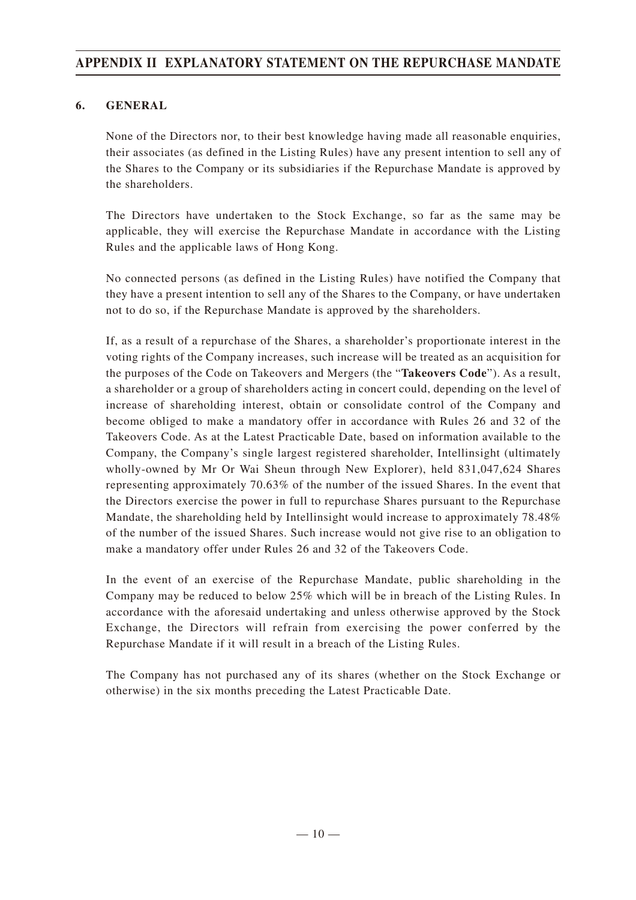# **APPENDIX II EXPLANATORY STATEMENT ON THE REPURCHASE MANDATE**

### **6. GENERAL**

None of the Directors nor, to their best knowledge having made all reasonable enquiries, their associates (as defined in the Listing Rules) have any present intention to sell any of the Shares to the Company or its subsidiaries if the Repurchase Mandate is approved by the shareholders.

The Directors have undertaken to the Stock Exchange, so far as the same may be applicable, they will exercise the Repurchase Mandate in accordance with the Listing Rules and the applicable laws of Hong Kong.

No connected persons (as defined in the Listing Rules) have notified the Company that they have a present intention to sell any of the Shares to the Company, or have undertaken not to do so, if the Repurchase Mandate is approved by the shareholders.

If, as a result of a repurchase of the Shares, a shareholder's proportionate interest in the voting rights of the Company increases, such increase will be treated as an acquisition for the purposes of the Code on Takeovers and Mergers (the "**Takeovers Code**"). As a result, a shareholder or a group of shareholders acting in concert could, depending on the level of increase of shareholding interest, obtain or consolidate control of the Company and become obliged to make a mandatory offer in accordance with Rules 26 and 32 of the Takeovers Code. As at the Latest Practicable Date, based on information available to the Company, the Company's single largest registered shareholder, Intellinsight (ultimately wholly-owned by Mr Or Wai Sheun through New Explorer), held 831,047,624 Shares representing approximately 70.63% of the number of the issued Shares. In the event that the Directors exercise the power in full to repurchase Shares pursuant to the Repurchase Mandate, the shareholding held by Intellinsight would increase to approximately 78.48% of the number of the issued Shares. Such increase would not give rise to an obligation to make a mandatory offer under Rules 26 and 32 of the Takeovers Code.

In the event of an exercise of the Repurchase Mandate, public shareholding in the Company may be reduced to below 25% which will be in breach of the Listing Rules. In accordance with the aforesaid undertaking and unless otherwise approved by the Stock Exchange, the Directors will refrain from exercising the power conferred by the Repurchase Mandate if it will result in a breach of the Listing Rules.

The Company has not purchased any of its shares (whether on the Stock Exchange or otherwise) in the six months preceding the Latest Practicable Date.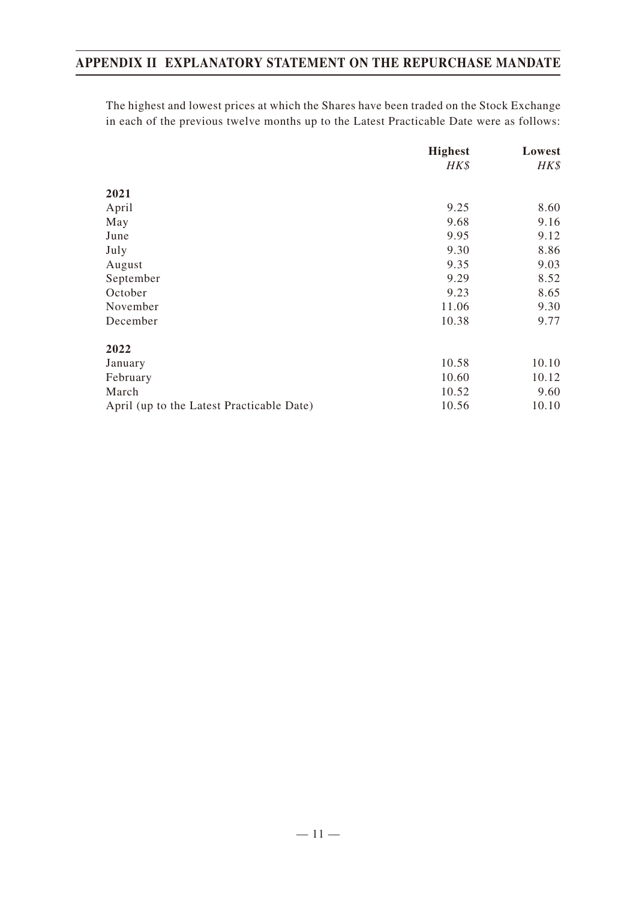# **APPENDIX II EXPLANATORY STATEMENT ON THE REPURCHASE MANDATE**

The highest and lowest prices at which the Shares have been traded on the Stock Exchange in each of the previous twelve months up to the Latest Practicable Date were as follows:

|                                           | <b>Highest</b><br>HK\$ | Lowest<br>HK\$ |
|-------------------------------------------|------------------------|----------------|
|                                           |                        |                |
| 2021                                      |                        |                |
| April                                     | 9.25                   | 8.60           |
| May                                       | 9.68                   | 9.16           |
| June                                      | 9.95                   | 9.12           |
| July                                      | 9.30                   | 8.86           |
| August                                    | 9.35                   | 9.03           |
| September                                 | 9.29                   | 8.52           |
| October                                   | 9.23                   | 8.65           |
| November                                  | 11.06                  | 9.30           |
| December                                  | 10.38                  | 9.77           |
| 2022                                      |                        |                |
| January                                   | 10.58                  | 10.10          |
| February                                  | 10.60                  | 10.12          |
| March                                     | 10.52                  | 9.60           |
| April (up to the Latest Practicable Date) | 10.56                  | 10.10          |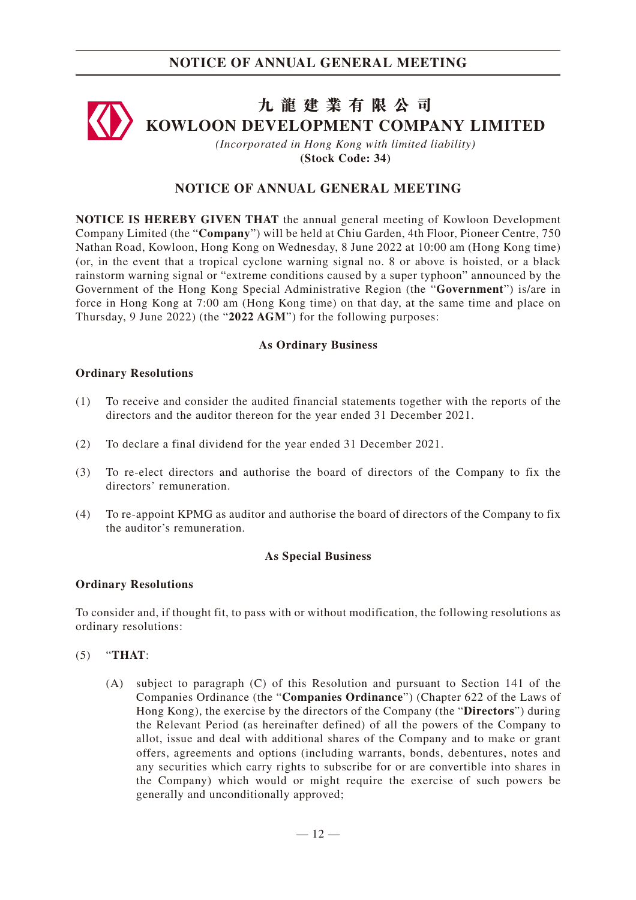# **九龍建業有限公司 KOWLOON DEVELOPMENT COMPANY LIMITED**

*(Incorporated in Hong Kong with limited liability)* **(Stock Code: 34)**

### **NOTICE OF ANNUAL GENERAL MEETING**

**NOTICE IS HEREBY GIVEN THAT** the annual general meeting of Kowloon Development Company Limited (the "**Company**") will be held at Chiu Garden, 4th Floor, Pioneer Centre, 750 Nathan Road, Kowloon, Hong Kong on Wednesday, 8 June 2022 at 10:00 am (Hong Kong time) (or, in the event that a tropical cyclone warning signal no. 8 or above is hoisted, or a black rainstorm warning signal or "extreme conditions caused by a super typhoon" announced by the Government of the Hong Kong Special Administrative Region (the "**Government**") is/are in force in Hong Kong at 7:00 am (Hong Kong time) on that day, at the same time and place on Thursday, 9 June 2022) (the "**2022 AGM**") for the following purposes:

#### **As Ordinary Business**

#### **Ordinary Resolutions**

- (1) To receive and consider the audited financial statements together with the reports of the directors and the auditor thereon for the year ended 31 December 2021.
- (2) To declare a final dividend for the year ended 31 December 2021.
- (3) To re-elect directors and authorise the board of directors of the Company to fix the directors' remuneration.
- (4) To re-appoint KPMG as auditor and authorise the board of directors of the Company to fix the auditor's remuneration.

#### **As Special Business**

#### **Ordinary Resolutions**

To consider and, if thought fit, to pass with or without modification, the following resolutions as ordinary resolutions:

#### (5) "**THAT**:

(A) subject to paragraph (C) of this Resolution and pursuant to Section 141 of the Companies Ordinance (the "**Companies Ordinance**") (Chapter 622 of the Laws of Hong Kong), the exercise by the directors of the Company (the "**Directors**") during the Relevant Period (as hereinafter defined) of all the powers of the Company to allot, issue and deal with additional shares of the Company and to make or grant offers, agreements and options (including warrants, bonds, debentures, notes and any securities which carry rights to subscribe for or are convertible into shares in the Company) which would or might require the exercise of such powers be generally and unconditionally approved;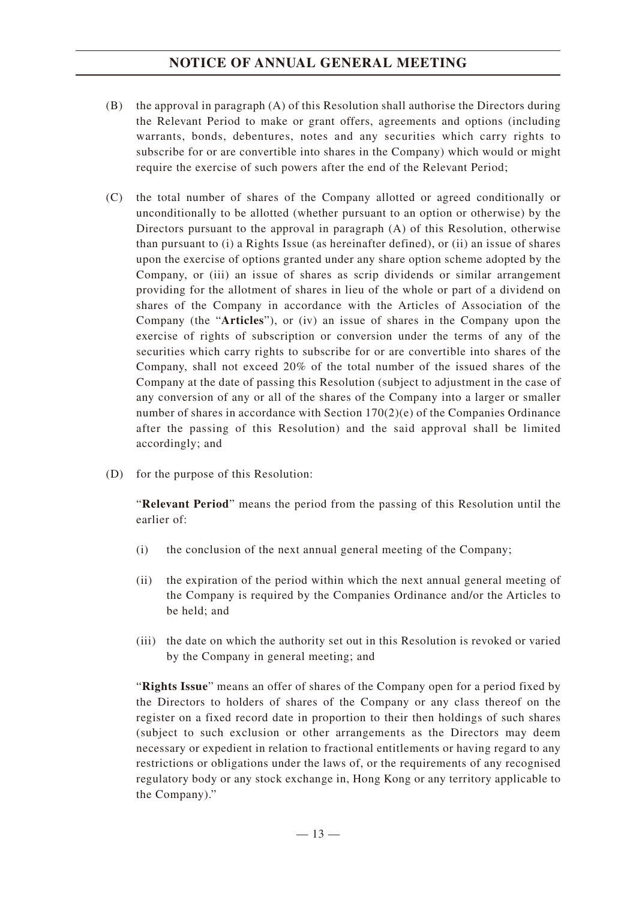# **NOTICE OF ANNUAL GENERAL MEETING**

- (B) the approval in paragraph (A) of this Resolution shall authorise the Directors during the Relevant Period to make or grant offers, agreements and options (including warrants, bonds, debentures, notes and any securities which carry rights to subscribe for or are convertible into shares in the Company) which would or might require the exercise of such powers after the end of the Relevant Period;
- (C) the total number of shares of the Company allotted or agreed conditionally or unconditionally to be allotted (whether pursuant to an option or otherwise) by the Directors pursuant to the approval in paragraph (A) of this Resolution, otherwise than pursuant to (i) a Rights Issue (as hereinafter defined), or (ii) an issue of shares upon the exercise of options granted under any share option scheme adopted by the Company, or (iii) an issue of shares as scrip dividends or similar arrangement providing for the allotment of shares in lieu of the whole or part of a dividend on shares of the Company in accordance with the Articles of Association of the Company (the "**Articles**"), or (iv) an issue of shares in the Company upon the exercise of rights of subscription or conversion under the terms of any of the securities which carry rights to subscribe for or are convertible into shares of the Company, shall not exceed 20% of the total number of the issued shares of the Company at the date of passing this Resolution (subject to adjustment in the case of any conversion of any or all of the shares of the Company into a larger or smaller number of shares in accordance with Section  $170(2)(e)$  of the Companies Ordinance after the passing of this Resolution) and the said approval shall be limited accordingly; and
- (D) for the purpose of this Resolution:

"**Relevant Period**" means the period from the passing of this Resolution until the earlier of:

- (i) the conclusion of the next annual general meeting of the Company;
- (ii) the expiration of the period within which the next annual general meeting of the Company is required by the Companies Ordinance and/or the Articles to be held; and
- (iii) the date on which the authority set out in this Resolution is revoked or varied by the Company in general meeting; and

"**Rights Issue**" means an offer of shares of the Company open for a period fixed by the Directors to holders of shares of the Company or any class thereof on the register on a fixed record date in proportion to their then holdings of such shares (subject to such exclusion or other arrangements as the Directors may deem necessary or expedient in relation to fractional entitlements or having regard to any restrictions or obligations under the laws of, or the requirements of any recognised regulatory body or any stock exchange in, Hong Kong or any territory applicable to the Company)."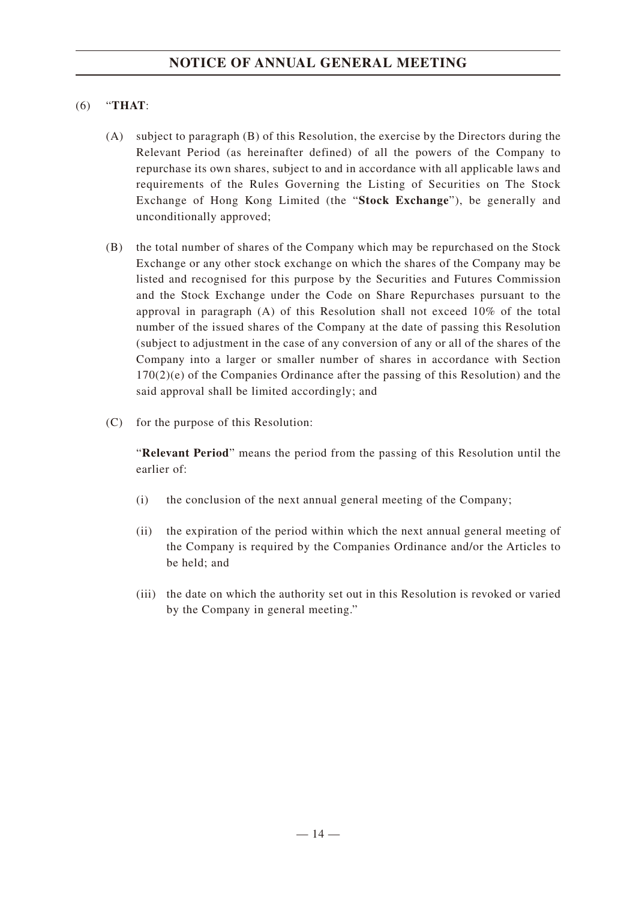### (6) "**THAT**:

- (A) subject to paragraph (B) of this Resolution, the exercise by the Directors during the Relevant Period (as hereinafter defined) of all the powers of the Company to repurchase its own shares, subject to and in accordance with all applicable laws and requirements of the Rules Governing the Listing of Securities on The Stock Exchange of Hong Kong Limited (the "**Stock Exchange**"), be generally and unconditionally approved;
- (B) the total number of shares of the Company which may be repurchased on the Stock Exchange or any other stock exchange on which the shares of the Company may be listed and recognised for this purpose by the Securities and Futures Commission and the Stock Exchange under the Code on Share Repurchases pursuant to the approval in paragraph (A) of this Resolution shall not exceed 10% of the total number of the issued shares of the Company at the date of passing this Resolution (subject to adjustment in the case of any conversion of any or all of the shares of the Company into a larger or smaller number of shares in accordance with Section 170(2)(e) of the Companies Ordinance after the passing of this Resolution) and the said approval shall be limited accordingly; and
- (C) for the purpose of this Resolution:

"**Relevant Period**" means the period from the passing of this Resolution until the earlier of:

- (i) the conclusion of the next annual general meeting of the Company;
- (ii) the expiration of the period within which the next annual general meeting of the Company is required by the Companies Ordinance and/or the Articles to be held; and
- (iii) the date on which the authority set out in this Resolution is revoked or varied by the Company in general meeting."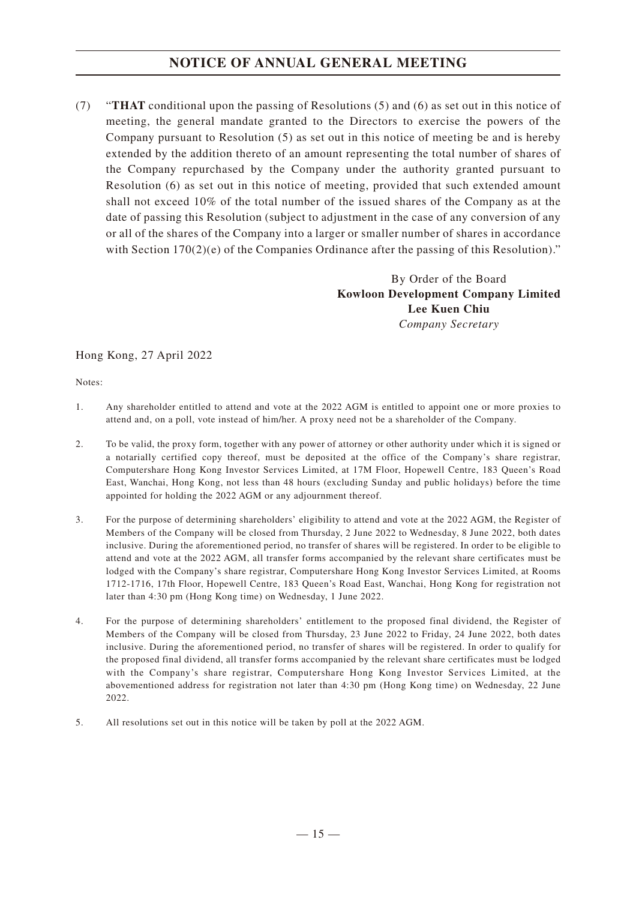# **NOTICE OF ANNUAL GENERAL MEETING**

(7) "**THAT** conditional upon the passing of Resolutions (5) and (6) as set out in this notice of meeting, the general mandate granted to the Directors to exercise the powers of the Company pursuant to Resolution (5) as set out in this notice of meeting be and is hereby extended by the addition thereto of an amount representing the total number of shares of the Company repurchased by the Company under the authority granted pursuant to Resolution (6) as set out in this notice of meeting, provided that such extended amount shall not exceed 10% of the total number of the issued shares of the Company as at the date of passing this Resolution (subject to adjustment in the case of any conversion of any or all of the shares of the Company into a larger or smaller number of shares in accordance with Section  $170(2)(e)$  of the Companies Ordinance after the passing of this Resolution)."

> By Order of the Board **Kowloon Development Company Limited Lee Kuen Chiu** *Company Secretary*

### Hong Kong, 27 April 2022

Notes:

- 1. Any shareholder entitled to attend and vote at the 2022 AGM is entitled to appoint one or more proxies to attend and, on a poll, vote instead of him/her. A proxy need not be a shareholder of the Company.
- 2. To be valid, the proxy form, together with any power of attorney or other authority under which it is signed or a notarially certified copy thereof, must be deposited at the office of the Company's share registrar, Computershare Hong Kong Investor Services Limited, at 17M Floor, Hopewell Centre, 183 Queen's Road East, Wanchai, Hong Kong, not less than 48 hours (excluding Sunday and public holidays) before the time appointed for holding the 2022 AGM or any adjournment thereof.
- 3. For the purpose of determining shareholders' eligibility to attend and vote at the 2022 AGM, the Register of Members of the Company will be closed from Thursday, 2 June 2022 to Wednesday, 8 June 2022, both dates inclusive. During the aforementioned period, no transfer of shares will be registered. In order to be eligible to attend and vote at the 2022 AGM, all transfer forms accompanied by the relevant share certificates must be lodged with the Company's share registrar, Computershare Hong Kong Investor Services Limited, at Rooms 1712-1716, 17th Floor, Hopewell Centre, 183 Queen's Road East, Wanchai, Hong Kong for registration not later than 4:30 pm (Hong Kong time) on Wednesday, 1 June 2022.
- 4. For the purpose of determining shareholders' entitlement to the proposed final dividend, the Register of Members of the Company will be closed from Thursday, 23 June 2022 to Friday, 24 June 2022, both dates inclusive. During the aforementioned period, no transfer of shares will be registered. In order to qualify for the proposed final dividend, all transfer forms accompanied by the relevant share certificates must be lodged with the Company's share registrar, Computershare Hong Kong Investor Services Limited, at the abovementioned address for registration not later than 4:30 pm (Hong Kong time) on Wednesday, 22 June 2022.
- 5. All resolutions set out in this notice will be taken by poll at the 2022 AGM.